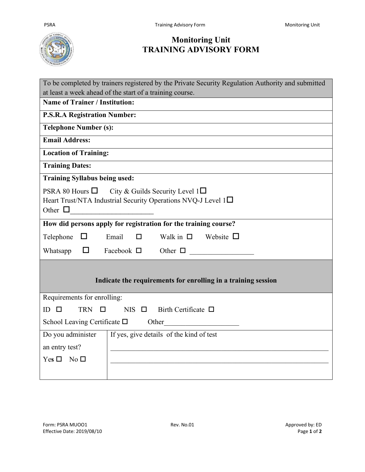

## **Monitoring Unit TRAINING ADVISORY FORM**

| To be completed by trainers registered by the Private Security Regulation Authority and submitted                                                  |
|----------------------------------------------------------------------------------------------------------------------------------------------------|
| at least a week ahead of the start of a training course.                                                                                           |
| <b>Name of Trainer / Institution:</b>                                                                                                              |
| <b>P.S.R.A Registration Number:</b>                                                                                                                |
| <b>Telephone Number (s):</b>                                                                                                                       |
| <b>Email Address:</b>                                                                                                                              |
| <b>Location of Training:</b>                                                                                                                       |
| <b>Training Dates:</b>                                                                                                                             |
| <b>Training Syllabus being used:</b>                                                                                                               |
| PSRA 80 Hours $\Box$<br>City & Guilds Security Level $1\Box$<br>Heart Trust/NTA Industrial Security Operations NVQ-J Level $1\Box$<br>Other $\Box$ |
| How did persons apply for registration for the training course?                                                                                    |
| Walk in $\square$ Website $\square$<br>Email<br>$\Box$<br>Telephone $\Box$                                                                         |
| Facebook $\Box$<br>Other $\Box$<br>Whatsapp<br>$\Box$                                                                                              |
| Indicate the requirements for enrolling in a training session                                                                                      |
| Requirements for enrolling:                                                                                                                        |
| <b>TRN</b><br>Birth Certificate $\Box$<br>$ID$ $\Box$<br>$NIS$ $\Box$<br>$\Box$                                                                    |
| School Leaving Certificate $\square$ Other                                                                                                         |
| If yes, give details of the kind of test<br>Do you administer                                                                                      |
| an entry test?                                                                                                                                     |
| $Yes \Box No \Box$                                                                                                                                 |
|                                                                                                                                                    |